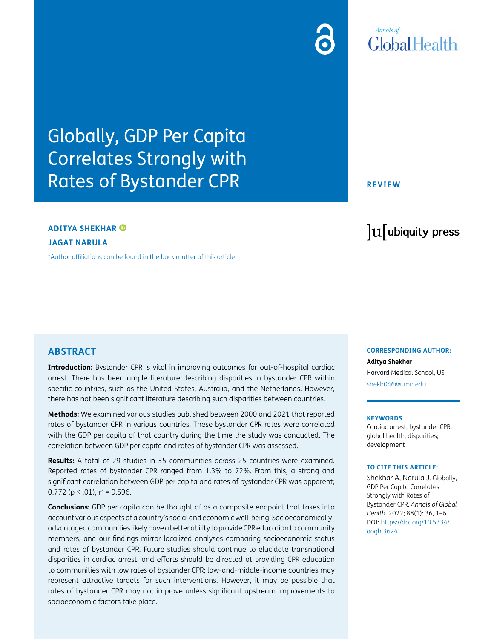## **Annals** of GlobalHealth

# Globally, GDP Per Capita Correlates Strongly with Rates of Bystander CPR

### **ADITYA SHEKHAR**

**JAGAT NARULA**

[\\*Author affiliations can be found in the back matter of this article](#page-3-0)

#### **REVIEW**

# lu ubiquity press

#### **ABSTRACT**

**Introduction:** Bystander CPR is vital in improving outcomes for out-of-hospital cardiac arrest. There has been ample literature describing disparities in bystander CPR within specific countries, such as the United States, Australia, and the Netherlands. However, there has not been significant literature describing such disparities between countries.

**Methods:** We examined various studies published between 2000 and 2021 that reported rates of bystander CPR in various countries. These bystander CPR rates were correlated with the GDP per capita of that country during the time the study was conducted. The correlation between GDP per capita and rates of bystander CPR was assessed.

**Results:** A total of 29 studies in 35 communities across 25 countries were examined. Reported rates of bystander CPR ranged from 1.3% to 72%. From this, a strong and significant correlation between GDP per capita and rates of bystander CPR was apparent; 0.772 ( $p < .01$ ),  $r^2 = 0.596$ .

**Conclusions:** GDP per capita can be thought of as a composite endpoint that takes into account various aspects of a country's social and economic well-being. Socioeconomicallyadvantaged communities likely have a better ability to provide CPR education to community members, and our findings mirror localized analyses comparing socioeconomic status and rates of bystander CPR. Future studies should continue to elucidate transnational disparities in cardiac arrest, and efforts should be directed at providing CPR education to communities with low rates of bystander CPR; low-and-middle-income countries may represent attractive targets for such interventions. However, it may be possible that rates of bystander CPR may not improve unless significant upstream improvements to socioeconomic factors take place.

#### **CORRESPONDING AUTHOR:**

**Aditya Shekhar** Harvard Medical School, US [shekh046@umn.edu](mailto:shekh046@umn.edu)

#### **KEYWORDS**

Cardiac arrest; bystander CPR; global health; disparities; development

#### **TO CITE THIS ARTICLE:**

Shekhar A, Narula J. Globally, GDP Per Capita Correlates Strongly with Rates of Bystander CPR. *Annals of Global Health*. 2022; 88(1): 36, 1–6. DOI: [https://doi.org/10.5334/](https://doi.org/10.5334/aogh.3624) [aogh.3624](https://doi.org/10.5334/aogh.3624)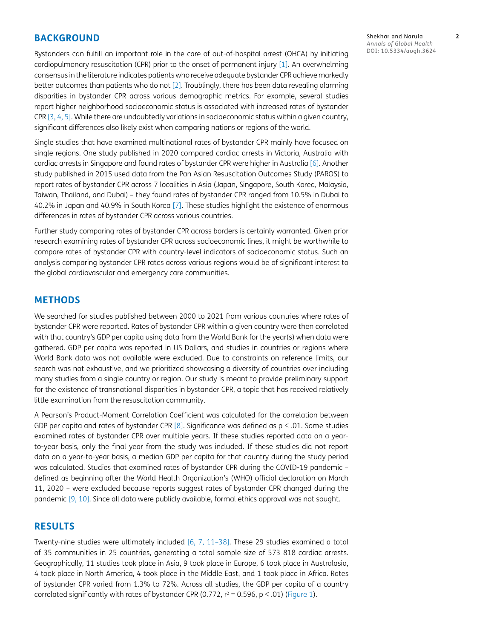#### **BACKGROUND**

Bystanders can fulfill an important role in the care of out-of-hospital arrest (OHCA) by initiating cardiopulmonary resuscitation (CPR) prior to the onset of permanent injury [[1\]](#page-3-1). An overwhelming consensus in the literature indicates patients who receive adequate bystander CPR achieve markedly better outcomes than patients who do not [\[2\]](#page-3-2). Troublingly, there has been data revealing alarming disparities in bystander CPR across various demographic metrics. For example, several studies report higher neighborhood socioeconomic status is associated with increased rates of bystander CPR [[3](#page-3-3), [4](#page-3-4), [5](#page-3-5)]. While there are undoubtedly variations in socioeconomic status within a given country, significant differences also likely exist when comparing nations or regions of the world.

Single studies that have examined multinational rates of bystander CPR mainly have focused on single regions. One study published in 2020 compared cardiac arrests in Victoria, Australia with cardiac arrests in Singapore and found rates of bystander CPR were higher in Australia [\[6](#page-3-6)]. Another study published in 2015 used data from the Pan Asian Resuscitation Outcomes Study (PAROS) to report rates of bystander CPR across 7 localities in Asia (Japan, Singapore, South Korea, Malaysia, Taiwan, Thailand, and Dubai) – they found rates of bystander CPR ranged from 10.5% in Dubai to 40.2% in Japan and 40.9% in South Korea [[7](#page-3-7)]. These studies highlight the existence of enormous differences in rates of bystander CPR across various countries.

Further study comparing rates of bystander CPR across borders is certainly warranted. Given prior research examining rates of bystander CPR across socioeconomic lines, it might be worthwhile to compare rates of bystander CPR with country-level indicators of socioeconomic status. Such an analysis comparing bystander CPR rates across various regions would be of significant interest to the global cardiovascular and emergency care communities.

#### **METHODS**

We searched for studies published between 2000 to 2021 from various countries where rates of bystander CPR were reported. Rates of bystander CPR within a given country were then correlated with that country's GDP per capita using data from the World Bank for the year(s) when data were gathered. GDP per capita was reported in US Dollars, and studies in countries or regions where World Bank data was not available were excluded. Due to constraints on reference limits, our search was not exhaustive, and we prioritized showcasing a diversity of countries over including many studies from a single country or region. Our study is meant to provide preliminary support for the existence of transnational disparities in bystander CPR, a topic that has received relatively little examination from the resuscitation community.

A Pearson's Product-Moment Correlation Coefficient was calculated for the correlation between GDP per capita and rates of bystander CPR  $[8]$ . Significance was defined as  $p < .01$ . Some studies examined rates of bystander CPR over multiple years. If these studies reported data on a yearto-year basis, only the final year from the study was included. If these studies did not report data on a year-to-year basis, a median GDP per capita for that country during the study period was calculated. Studies that examined rates of bystander CPR during the COVID-19 pandemic – defined as beginning after the World Health Organization's (WHO) official declaration on March 11, 2020 – were excluded because reports suggest rates of bystander CPR changed during the pandemic [[9,](#page-4-0) [10\]](#page-4-1). Since all data were publicly available, formal ethics approval was not sought.

#### **RESULTS**

Twenty-nine studies were ultimately included [\[6](#page-3-6), [7,](#page-3-7) [11–](#page-5-0)[38](#page-5-1)]. These 29 studies examined a total of 35 communities in 25 countries, generating a total sample size of 573 818 cardiac arrests. Geographically, 11 studies took place in Asia, 9 took place in Europe, 6 took place in Australasia, 4 took place in North America, 4 took place in the Middle East, and 1 took place in Africa. Rates of bystander CPR varied from 1.3% to 72%. Across all studies, the GDP per capita of a country correlated significantly with rates of bystander CPR (0.772,  $r^2 = 0.596$ ,  $p < .01$ ) ([Figure 1](#page-2-0)).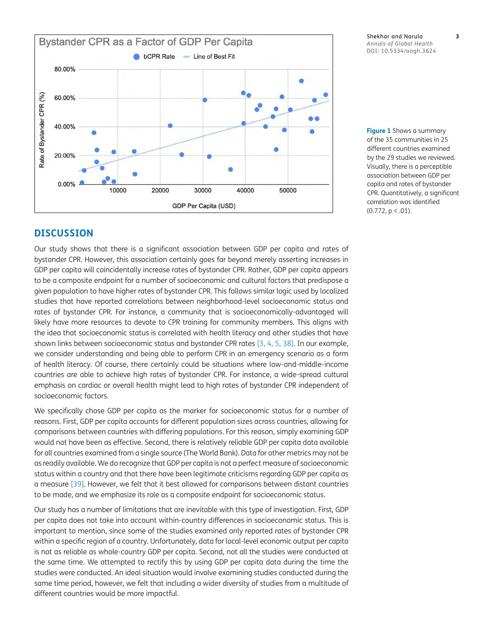Bystander CPR as a Factor of GDP Per Capita bCPR Rate - Line of Best Fit 80.00% Rate of Bystander CPR (%) 60.00% 40.00% 20.00% 0.00% 10000 20000 30000 40000 50000 GDP Per Capita (USD)

#### Shekhar and Narula **3** *Annals of Global Health* DOI: 10.5334/aogh.3624

<span id="page-2-0"></span>**Figure 1** Shows a summary of the 35 communities in 25 different countries examined by the 29 studies we reviewed. Visually, there is a perceptible association between GDP per capita and rates of bystander CPR. Quantitatively, a significant correlation was identified  $(0.772, p \le .01)$ .

#### **DISCUSSION**

Our study shows that there is a significant association between GDP per capita and rates of bystander CPR. However, this association certainly goes far beyond merely asserting increases in GDP per capita will coincidentally increase rates of bystander CPR. Rather, GDP per capita appears to be a composite endpoint for a number of socioeconomic and cultural factors that predispose a given population to have higher rates of bystander CPR. This follows similar logic used by localized studies that have reported correlations between neighborhood-level socioeconomic status and rates of bystander CPR. For instance, a community that is socioeconomically-advantaged will likely have more resources to devote to CPR training for community members. This aligns with the idea that socioeconomic status is correlated with health literacy and other studies that have shown links between socioeconomic status and bystander CPR rates [[3,](#page-3-3) [4,](#page-3-4) [5](#page-3-5), [38](#page-5-1)]. In our example, we consider understanding and being able to perform CPR in an emergency scenario as a form of health literacy. Of course, there certainly could be situations where low-and-middle-income countries are able to achieve high rates of bystander CPR. For instance, a wide-spread cultural emphasis on cardiac or overall health might lead to high rates of bystander CPR independent of socioeconomic factors.

We specifically chose GDP per capita as the marker for socioeconomic status for a number of reasons. First, GDP per capita accounts for different population sizes across countries, allowing for comparisons between countries with differing populations. For this reason, simply examining GDP would not have been as effective. Second, there is relatively reliable GDP per capita data available for all countries examined from a single source (The World Bank). Data for other metrics may not be as readily available. We do recognize that GDP per capita is not a perfect measure of socioeconomic status within a country and that there have been legitimate criticisms regarding GDP per capita as a measure [[39](#page-5-0)]. However, we felt that it best allowed for comparisons between distant countries to be made, and we emphasize its role as a composite endpoint for socioeconomic status.

Our study has a number of limitations that are inevitable with this type of investigation. First, GDP per capita does not take into account within-country differences in socioeconomic status. This is important to mention, since some of the studies examined only reported rates of bystander CPR within a specific region of a country. Unfortunately, data for local-level economic output per capita is not as reliable as whole-country GDP per capita. Second, not all the studies were conducted at the same time. We attempted to rectify this by using GDP per capita data during the time the studies were conducted. An ideal situation would involve examining studies conducted during the same time period, however, we felt that including a wider diversity of studies from a multitude of different countries would be more impactful.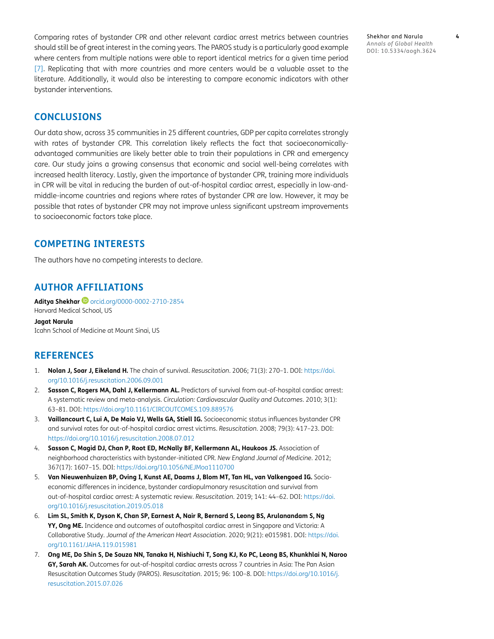Comparing rates of bystander CPR and other relevant cardiac arrest metrics between countries should still be of great interest in the coming years. The PAROS study is a particularly good example where centers from multiple nations were able to report identical metrics for a given time period [\[7\]](#page-3-7). Replicating that with more countries and more centers would be a valuable asset to the literature. Additionally, it would also be interesting to compare economic indicators with other bystander interventions.

Shekhar and Narula **4** *Annals of Global Health* DOI: 10.5334/aogh.3624

#### **CONCLUSIONS**

Our data show, across 35 communities in 25 different countries, GDP per capita correlates strongly with rates of bystander CPR. This correlation likely reflects the fact that socioeconomicallyadvantaged communities are likely better able to train their populations in CPR and emergency care. Our study joins a growing consensus that economic and social well-being correlates with increased health literacy. Lastly, given the importance of bystander CPR, training more individuals in CPR will be vital in reducing the burden of out-of-hospital cardiac arrest, especially in low-andmiddle-income countries and regions where rates of bystander CPR are low. However, it may be possible that rates of bystander CPR may not improve unless significant upstream improvements to socioeconomic factors take place.

#### **COMPETING INTERESTS**

The authors have no competing interests to declare.

#### <span id="page-3-0"></span>**AUTHOR AFFILIATIONS**

**Aditya Shekhar iD** [orcid.org/0000-0002-2710-2854](https://orcid.org/0000-0002-2710-2854) Harvard Medical School, US

**Jagat Narula** Icahn School of Medicine at Mount Sinai, US

#### **REFERENCES**

- <span id="page-3-1"></span>1. **Nolan J, Soar J, Eikeland H.** The chain of survival. *Resuscitation*. 2006; 71(3): 270–1. DOI: [https://doi.](https://doi.org/10.1016/j.resuscitation.2006.09.001) [org/10.1016/j.resuscitation.2006.09.001](https://doi.org/10.1016/j.resuscitation.2006.09.001)
- <span id="page-3-2"></span>2. **Sasson C, Rogers MA, Dahl J, Kellermann AL.** Predictors of survival from out-of-hospital cardiac arrest: A systematic review and meta-analysis. *Circulation: Cardiovascular Quality and Outcomes*. 2010; 3(1): 63–81. DOI:<https://doi.org/10.1161/CIRCOUTCOMES.109.889576>
- <span id="page-3-3"></span>3. **Vaillancourt C, Lui A, De Maio VJ, Wells GA, Stiell IG.** Socioeconomic status influences bystander CPR and survival rates for out-of-hospital cardiac arrest victims. *Resuscitation*. 2008; 79(3): 417–23. DOI: <https://doi.org/10.1016/j.resuscitation.2008.07.012>
- <span id="page-3-4"></span>4. **Sasson C, Magid DJ, Chan P, Root ED, McNally BF, Kellermann AL, Haukoos JS.** Association of neighborhood characteristics with bystander-initiated CPR. *New England Journal of Medicine*. 2012; 367(17): 1607–15. DOI: <https://doi.org/10.1056/NEJMoa1110700>
- <span id="page-3-5"></span>5. **Van Nieuwenhuizen BP, Oving I, Kunst AE, Daams J, Blom MT, Tan HL, van Valkengoed IG.** Socioeconomic differences in incidence, bystander cardiopulmonary resuscitation and survival from out-of-hospital cardiac arrest: A systematic review. *Resuscitation*. 2019; 141: 44–62. DOI: [https://doi.](https://doi.org/10.1016/j.resuscitation.2019.05.018) [org/10.1016/j.resuscitation.2019.05.018](https://doi.org/10.1016/j.resuscitation.2019.05.018)
- <span id="page-3-6"></span>6. **Lim SL, Smith K, Dyson K, Chan SP, Earnest A, Nair R, Bernard S, Leong BS, Arulanandam S, Ng YY, Ong ME.** Incidence and outcomes of outofhospital cardiac arrest in Singapore and Victoria: A Collaborative Study. *Journal of the American Heart Association*. 2020; 9(21): e015981. DOI: [https://doi.](https://doi.org/10.1161/JAHA.119.015981) [org/10.1161/JAHA.119.015981](https://doi.org/10.1161/JAHA.119.015981)
- <span id="page-3-7"></span>7. **Ong ME, Do Shin S, De Souza NN, Tanaka H, Nishiuchi T, Song KJ, Ko PC, Leong BS, Khunkhlai N, Naroo GY, Sarah AK.** Outcomes for out-of-hospital cardiac arrests across 7 countries in Asia: The Pan Asian Resuscitation Outcomes Study (PAROS). *Resuscitation*. 2015; 96: 100–8. DOI: [https://doi.org/10.1016/j.](https://doi.org/10.1016/j.resuscitation.2015.07.026) [resuscitation.2015.07.026](https://doi.org/10.1016/j.resuscitation.2015.07.026)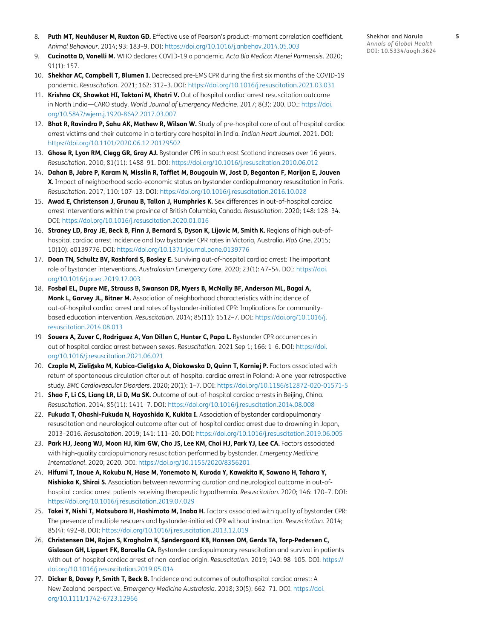- 8. **Puth MT, Neuhäuser M, Ruxton GD.** Effective use of Pearson's product–moment correlation coefficient. *Animal Behaviour*. 2014; 93: 183–9. DOI:<https://doi.org/10.1016/j.anbehav.2014.05.003>
- <span id="page-4-0"></span>9. **Cucinotta D, Vanelli M.** WHO declares COVID-19 a pandemic. *Acta Bio Medica: Atenei Parmensis*. 2020; 91(1): 157.
- <span id="page-4-1"></span>10. **Shekhar AC, Campbell T, Blumen I.** Decreased pre-EMS CPR during the first six months of the COVID-19 pandemic. *Resuscitation*. 2021; 162: 312–3. DOI:<https://doi.org/10.1016/j.resuscitation.2021.03.031>
- 11. **Krishna CK, Showkat HI, Taktani M, Khatri V.** Out of hospital cardiac arrest resuscitation outcome in North India—CARO study. *World Journal of Emergency Medicine*. 2017; 8(3): 200. DOI: [https://doi.](https://doi.org/10.5847/wjem.j.1920-8642.2017.03.007) [org/10.5847/wjem.j.1920-8642.2017.03.007](https://doi.org/10.5847/wjem.j.1920-8642.2017.03.007)
- 12. **Bhat R, Ravindra P, Sahu AK, Mathew R, Wilson W.** Study of pre-hospital care of out of hospital cardiac arrest victims and their outcome in a tertiary care hospital in India. *Indian Heart Journal*. 2021. DOI: <https://doi.org/10.1101/2020.06.12.20129502>
- 13. **Ghose R, Lyon RM, Clegg GR, Gray AJ.** Bystander CPR in south east Scotland increases over 16 years. *Resuscitation*. 2010; 81(11): 1488–91. DOI: <https://doi.org/10.1016/j.resuscitation.2010.06.012>
- 14. **Dahan B, Jabre P, Karam N, Misslin R, Tafflet M, Bougouin W, Jost D, Beganton F, Marijon E, Jouven X.** Impact of neighborhood socio-economic status on bystander cardiopulmonary resuscitation in Paris. *Resuscitation*. 2017; 110: 107–13. DOI:<https://doi.org/10.1016/j.resuscitation.2016.10.028>
- 15. **Awad E, Christenson J, Grunau B, Tallon J, Humphries K.** Sex differences in out-of-hospital cardiac arrest interventions within the province of British Columbia, Canada. *Resuscitation*. 2020; 148: 128–34. DOI:<https://doi.org/10.1016/j.resuscitation.2020.01.016>
- 16. **Straney LD, Bray JE, Beck B, Finn J, Bernard S, Dyson K, Lijovic M, Smith K.** Regions of high out-ofhospital cardiac arrest incidence and low bystander CPR rates in Victoria, Australia. *PloS One*. 2015; 10(10): e0139776. DOI:<https://doi.org/10.1371/journal.pone.0139776>
- 17. **Doan TN, Schultz BV, Rashford S, Bosley E.** Surviving out-of-hospital cardiac arrest: The important role of bystander interventions. *Australasian Emergency Care*. 2020; 23(1): 47–54. DOI: [https://doi.](https://doi.org/10.1016/j.auec.2019.12.003) [org/10.1016/j.auec.2019.12.003](https://doi.org/10.1016/j.auec.2019.12.003)
- 18. **Fosbøl EL, Dupre ME, Strauss B, Swanson DR, Myers B, McNally BF, Anderson ML, Bagai A, Monk L, Garvey JL, Bitner M.** Association of neighborhood characteristics with incidence of out-of-hospital cardiac arrest and rates of bystander-initiated CPR: Implications for communitybased education intervention. *Resuscitation*. 2014; 85(11): 1512–7. DOI: [https://doi.org/10.1016/j.](https://doi.org/10.1016/j.resuscitation.2014.08.013) [resuscitation.2014.08.013](https://doi.org/10.1016/j.resuscitation.2014.08.013)
- 19 **Souers A, Zuver C, Rodriguez A, Van Dillen C, Hunter C, Papa L.** Bystander CPR occurrences in out of hospital cardiac arrest between sexes. *Resuscitation*. 2021 Sep 1; 166: 1–6. DOI: [https://doi.](https://doi.org/10.1016/j.resuscitation.2021.06.021) [org/10.1016/j.resuscitation.2021.06.021](https://doi.org/10.1016/j.resuscitation.2021.06.021)
- 20. **Czapla M, Zieli**ń**ska M, Kubica-Cieli**ń**ska A, Diakowska D, Quinn T, Karniej P.** Factors associated with return of spontaneous circulation after out-of-hospital cardiac arrest in Poland: A one-year retrospective study. *BMC Cardiovascular Disorders*. 2020; 20(1): 1–7. DOI:<https://doi.org/10.1186/s12872-020-01571-5>
- 21. **Shao F, Li CS, Liang LR, Li D, Ma SK.** Outcome of out-of-hospital cardiac arrests in Beijing, China. *Resuscitation*. 2014; 85(11): 1411–7. DOI:<https://doi.org/10.1016/j.resuscitation.2014.08.008>
- 22. **Fukuda T, Ohashi-Fukuda N, Hayashida K, Kukita I.** Association of bystander cardiopulmonary resuscitation and neurological outcome after out-of-hospital cardiac arrest due to drowning in Japan, 2013–2016. *Resuscitation*. 2019; 141: 111–20. DOI:<https://doi.org/10.1016/j.resuscitation.2019.06.005>
- 23. **Park HJ, Jeong WJ, Moon HJ, Kim GW, Cho JS, Lee KM, Choi HJ, Park YJ, Lee CA.** Factors associated with high-quality cardiopulmonary resuscitation performed by bystander. *Emergency Medicine International*. 2020; 2020. DOI: <https://doi.org/10.1155/2020/8356201>
- 24. **Hifumi T, Inoue A, Kokubu N, Hase M, Yonemoto N, Kuroda Y, Kawakita K, Sawano H, Tahara Y, Nishioka K, Shirai S.** Association between rewarming duration and neurological outcome in out-ofhospital cardiac arrest patients receiving therapeutic hypothermia. *Resuscitation*. 2020; 146: 170–7. DOI: <https://doi.org/10.1016/j.resuscitation.2019.07.029>
- 25. **Takei Y, Nishi T, Matsubara H, Hashimoto M, Inaba H.** Factors associated with quality of bystander CPR: The presence of multiple rescuers and bystander-initiated CPR without instruction. *Resuscitation*. 2014; 85(4): 492–8. DOI:<https://doi.org/10.1016/j.resuscitation.2013.12.019>
- 26. **Christensen DM, Rajan S, Kragholm K, Søndergaard KB, Hansen OM, Gerds TA, Torp-Pedersen C, Gislason GH, Lippert FK, Barcella CA.** Bystander cardiopulmonary resuscitation and survival in patients with out-of-hospital cardiac arrest of non-cardiac origin. *Resuscitation*. 2019; 140: 98–105. DOI: [https://](https://doi.org/10.1016/j.resuscitation.2019.05.014) [doi.org/10.1016/j.resuscitation.2019.05.014](https://doi.org/10.1016/j.resuscitation.2019.05.014)
- 27. **Dicker B, Davey P, Smith T, Beck B.** Incidence and outcomes of outofhospital cardiac arrest: A New Zealand perspective. *Emergency Medicine Australasia*. 2018; 30(5): 662–71. DOI: [https://doi.](https://doi.org/10.1111/1742-6723.12966) [org/10.1111/1742-6723.12966](https://doi.org/10.1111/1742-6723.12966)

Shekhar and Narula **5** *Annals of Global Health* DOI: 10.5334/aogh.3624